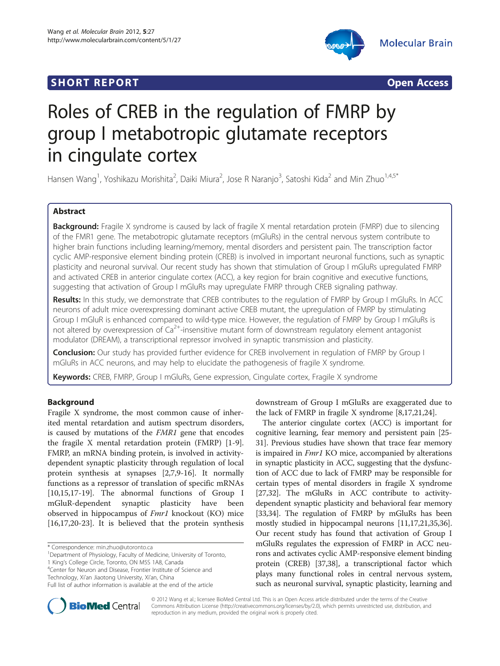



# Roles of CREB in the regulation of FMRP by group I metabotropic glutamate receptors in cingulate cortex

Hansen Wang<sup>1</sup>, Yoshikazu Morishita<sup>2</sup>, Daiki Miura<sup>2</sup>, Jose R Naranjo<sup>3</sup>, Satoshi Kida<sup>2</sup> and Min Zhuo<sup>1,4,5\*</sup>

# Abstract

Background: Fragile X syndrome is caused by lack of fragile X mental retardation protein (FMRP) due to silencing of the FMR1 gene. The metabotropic glutamate receptors (mGluRs) in the central nervous system contribute to higher brain functions including learning/memory, mental disorders and persistent pain. The transcription factor cyclic AMP-responsive element binding protein (CREB) is involved in important neuronal functions, such as synaptic plasticity and neuronal survival. Our recent study has shown that stimulation of Group I mGluRs upregulated FMRP and activated CREB in anterior cingulate cortex (ACC), a key region for brain cognitive and executive functions, suggesting that activation of Group I mGluRs may upregulate FMRP through CREB signaling pathway.

Results: In this study, we demonstrate that CREB contributes to the regulation of FMRP by Group I mGluRs. In ACC neurons of adult mice overexpressing dominant active CREB mutant, the upregulation of FMRP by stimulating Group I mGluR is enhanced compared to wild-type mice. However, the regulation of FMRP by Group I mGluRs is not altered by overexpression of  $Ca<sup>2+</sup>$ -insensitive mutant form of downstream regulatory element antagonist modulator (DREAM), a transcriptional repressor involved in synaptic transmission and plasticity.

**Conclusion:** Our study has provided further evidence for CREB involvement in regulation of FMRP by Group I mGluRs in ACC neurons, and may help to elucidate the pathogenesis of fragile X syndrome.

Keywords: CREB, FMRP, Group I mGluRs, Gene expression, Cingulate cortex, Fragile X syndrome

# Background

Fragile X syndrome, the most common cause of inherited mental retardation and autism spectrum disorders, is caused by mutations of the FMR1 gene that encodes the fragile X mental retardation protein (FMRP) [[1-9](#page-6-0)]. FMRP, an mRNA binding protein, is involved in activitydependent synaptic plasticity through regulation of local protein synthesis at synapses [\[2,7,9](#page-6-0)-[16\]](#page-6-0). It normally functions as a repressor of translation of specific mRNAs [[10,15,17-19\]](#page-6-0). The abnormal functions of Group I mGluR-dependent synaptic plasticity have been observed in hippocampus of Fmr1 knockout (KO) mice [[16,17,20-23\]](#page-6-0). It is believed that the protein synthesis

<sup>4</sup> Center for Neuron and Disease, Frontier Institute of Science and

Technology, Xi'an Jiaotong University, Xi'an, China

downstream of Group I mGluRs are exaggerated due to the lack of FMRP in fragile X syndrome [\[8,17,21,24](#page-6-0)].

The anterior cingulate cortex (ACC) is important for cognitive learning, fear memory and persistent pain [\[25](#page-6-0)- [31](#page-6-0)]. Previous studies have shown that trace fear memory is impaired in Fmr1 KO mice, accompanied by alterations in synaptic plasticity in ACC, suggesting that the dysfunction of ACC due to lack of FMRP may be responsible for certain types of mental disorders in fragile X syndrome [[27](#page-6-0),[32](#page-6-0)]. The mGluRs in ACC contribute to activitydependent synaptic plasticity and behavioral fear memory [[33](#page-6-0),[34](#page-6-0)]. The regulation of FMRP by mGluRs has been mostly studied in hippocampal neurons [[11,17,21,35,36](#page-6-0)]. Our recent study has found that activation of Group I mGluRs regulates the expression of FMRP in ACC neurons and activates cyclic AMP-responsive element binding protein (CREB) [[37,38\]](#page-6-0), a transcriptional factor which plays many functional roles in central nervous system, such as neuronal survival, synaptic plasticity, learning and



© 2012 Wang et al.; licensee BioMed Central Ltd. This is an Open Access article distributed under the terms of the Creative Commons Attribution License [\(http://creativecommons.org/licenses/by/2.0\)](http://creativecommons.org/licenses/by/2.0), which permits unrestricted use, distribution, and reproduction in any medium, provided the original work is properly cited.

<sup>\*</sup> Correspondence: [min.zhuo@utoronto.ca](mailto:min.zhuo@utoronto.ca) <sup>1</sup>

<sup>&</sup>lt;sup>1</sup>Department of Physiology, Faculty of Medicine, University of Toronto, 1 King's College Circle, Toronto, ON M5S 1A8, Canada <sup>4</sup>

Full list of author information is available at the end of the article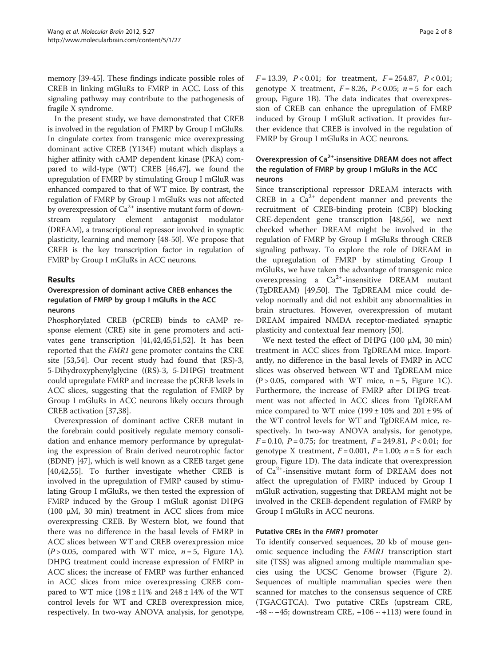memory [[39](#page-7-0)-[45](#page-7-0)]. These findings indicate possible roles of CREB in linking mGluRs to FMRP in ACC. Loss of this signaling pathway may contribute to the pathogenesis of fragile X syndrome.

In the present study, we have demonstrated that CREB is involved in the regulation of FMRP by Group I mGluRs. In cingulate cortex from transgenic mice overexpressing dominant active CREB (Y134F) mutant which displays a higher affinity with cAMP dependent kinase (PKA) compared to wild-type (WT) CREB [[46,47\]](#page-7-0), we found the upregulation of FMRP by stimulating Group I mGluR was enhanced compared to that of WT mice. By contrast, the regulation of FMRP by Group I mGluRs was not affected by overexpression of  $Ca^{2+}$  insentive mutant form of downstream regulatory element antagonist modulator (DREAM), a transcriptional repressor involved in synaptic plasticity, learning and memory [\[48-50\]](#page-7-0). We propose that CREB is the key transcription factor in regulation of FMRP by Group I mGluRs in ACC neurons.

# Results

# Overexpression of dominant active CREB enhances the regulation of FMRP by group I mGluRs in the ACC neurons

Phosphorylated CREB (pCREB) binds to cAMP response element (CRE) site in gene promoters and activates gene transcription [[41,42,45,51,52\]](#page-7-0). It has been reported that the FMR1 gene promoter contains the CRE site [\[53,54\]](#page-7-0). Our recent study had found that (RS)-3, 5-Dihydroxyphenylglycine ((RS)-3, 5-DHPG) treatment could upregulate FMRP and increase the pCREB levels in ACC slices, suggesting that the regulation of FMRP by Group I mGluRs in ACC neurons likely occurs through CREB activation [[37,38\]](#page-6-0).

Overexpression of dominant active CREB mutant in the forebrain could positively regulate memory consolidation and enhance memory performance by upregulating the expression of Brain derived neurotrophic factor (BDNF) [[47\]](#page-7-0), which is well known as a CREB target gene [[40,42,55\]](#page-7-0). To further investigate whether CREB is involved in the upregulation of FMRP caused by stimulating Group I mGluRs, we then tested the expression of FMRP induced by the Group I mGluR agonist DHPG (100  $\mu$ M, 30 min) treatment in ACC slices from mice overexpressing CREB. By Western blot, we found that there was no difference in the basal levels of FMRP in ACC slices between WT and CREB overexpression mice  $(P > 0.05$ , compared with WT mice,  $n = 5$ , Figure [1A](#page-2-0)). DHPG treatment could increase expression of FMRP in ACC slices; the increase of FMRP was further enhanced in ACC slices from mice overexpressing CREB compared to WT mice  $(198 \pm 11\% \text{ and } 248 \pm 14\% \text{ of the WT})$ control levels for WT and CREB overexpression mice, respectively. In two-way ANOVA analysis, for genotype,  $F = 13.39$ ,  $P < 0.01$ ; for treatment,  $F = 254.87$ ,  $P < 0.01$ ; genotype X treatment,  $F = 8.26$ ,  $P < 0.05$ ;  $n = 5$  for each group, Figure [1B\)](#page-2-0). The data indicates that overexpression of CREB can enhance the upregulation of FMRP induced by Group I mGluR activation. It provides further evidence that CREB is involved in the regulation of FMRP by Group I mGluRs in ACC neurons.

# Overexpression of Ca<sup>2+</sup>-insensitive DREAM does not affect the regulation of FMRP by group I mGluRs in the ACC neurons

Since transcriptional repressor DREAM interacts with CREB in a  $Ca^{2+}$  dependent manner and prevents the recruitment of CREB-binding protein (CBP) blocking CRE-dependent gene transcription [\[48,56\]](#page-7-0), we next checked whether DREAM might be involved in the regulation of FMRP by Group I mGluRs through CREB signaling pathway. To explore the role of DREAM in the upregulation of FMRP by stimulating Group I mGluRs, we have taken the advantage of transgenic mice overexpressing a  $Ca^{2+}$ -insensitive DREAM mutant (TgDREAM) [[49,50\]](#page-7-0). The TgDREAM mice could develop normally and did not exhibit any abnormalities in brain structures. However, overexpression of mutant DREAM impaired NMDA receptor-mediated synaptic plasticity and contextual fear memory [[50\]](#page-7-0).

We next tested the effect of DHPG (100 μM, 30 min) treatment in ACC slices from TgDREAM mice. Importantly, no difference in the basal levels of FMRP in ACC slices was observed between WT and TgDREAM mice  $(P > 0.05$ , compared with WT mice,  $n = 5$ , Figure [1C](#page-2-0)). Furthermore, the increase of FMRP after DHPG treatment was not affected in ACC slices from TgDREAM mice compared to WT mice  $(199 \pm 10\%$  and  $201 \pm 9\%$  of the WT control levels for WT and TgDREAM mice, respectively. In two-way ANOVA analysis, for genotype,  $F = 0.10$ ,  $P = 0.75$ ; for treatment,  $F = 249.81$ ,  $P < 0.01$ ; for genotype X treatment,  $F = 0.001$ ,  $P = 1.00$ ;  $n = 5$  for each group, Figure [1D](#page-2-0)). The data indicate that overexpression of  $Ca<sup>2+</sup>$ -insensitive mutant form of DREAM does not affect the upregulation of FMRP induced by Group I mGluR activation, suggesting that DREAM might not be involved in the CREB-dependent regulation of FMRP by Group I mGluRs in ACC neurons.

# Putative CREs in the FMR1 promoter

To identify conserved sequences, 20 kb of mouse genomic sequence including the FMR1 transcription start site (TSS) was aligned among multiple mammalian species using the UCSC Genome browser (Figure [2](#page-3-0)). Sequences of multiple mammalian species were then scanned for matches to the consensus sequence of CRE (TGACGTCA). Two putative CREs (upstream CRE, -48 ~ −45; downstream CRE, +106 ~ +113) were found in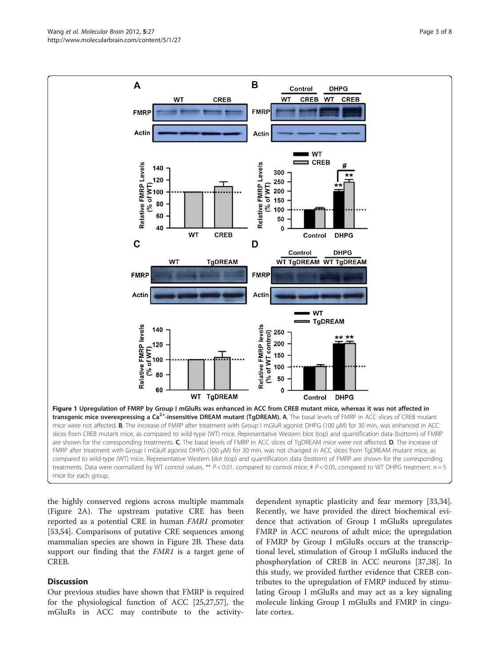the highly conserved regions across multiple mammals (Figure [2A\)](#page-3-0). The upstream putative CRE has been reported as a potential CRE in human FMR1 promoter [[53,54\]](#page-7-0). Comparisons of putative CRE sequences among mammalian species are shown in Figure [2B](#page-3-0). These data support our finding that the *FMR1* is a target gene of CREB.

# **Discussion**

Our previous studies have shown that FMRP is required for the physiological function of ACC [\[25,27,](#page-6-0)[57\]](#page-7-0), the mGluRs in ACC may contribute to the activity-

dependent synaptic plasticity and fear memory [\[33,34](#page-6-0)]. Recently, we have provided the direct biochemical evidence that activation of Group I mGluRs upregulates FMRP in ACC neurons of adult mice; the upregulation of FMRP by Group I mGluRs occurs at the transcriptional level, stimulation of Group I mGluRs induced the phosphorylation of CREB in ACC neurons [[37,38\]](#page-6-0). In this study, we provided further evidence that CREB contributes to the upregulation of FMRP induced by stimulating Group I mGluRs and may act as a key signaling molecule linking Group I mGluRs and FMRP in cingulate cortex.

<span id="page-2-0"></span>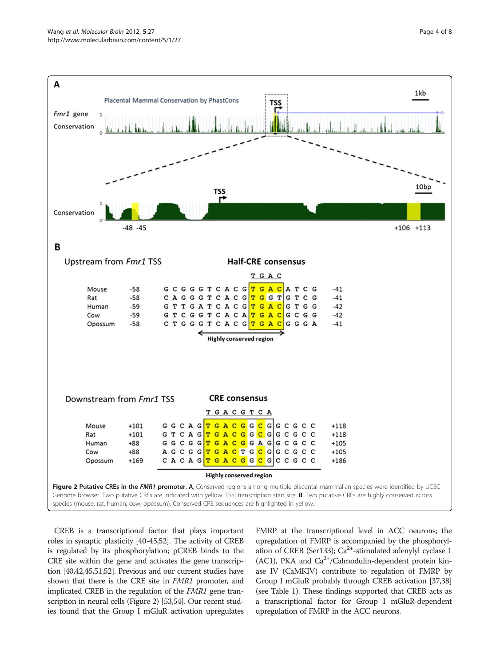<span id="page-3-0"></span>

CREB is a transcriptional factor that plays important roles in synaptic plasticity [\[40](#page-7-0)-[45,52\]](#page-7-0). The activity of CREB is regulated by its phosphorylation; pCREB binds to the CRE site within the gene and activates the gene transcription [\[40,42,45,51,52](#page-7-0)]. Previous and our current studies have shown that there is the CRE site in FMR1 promoter, and implicated CREB in the regulation of the FMR1 gene transcription in neural cells (Figure 2) [\[53,54](#page-7-0)]. Our recent studies found that the Group I mGluR activation upregulates FMRP at the transcriptional level in ACC neurons; the upregulation of FMRP is accompanied by the phosphorylation of CREB (Ser133);  $Ca^{2+}$ -stimulated adenylyl cyclase 1 (AC1), PKA and  $Ca^{2+}/Calmodulin-dependent protein$  kinase IV (CaMKIV) contribute to regulation of FMRP by Group I mGluR probably through CREB activation [[37,38](#page-6-0)] (see Table [1](#page-4-0)). These findings supported that CREB acts as a transcriptional factor for Group I mGluR-dependent upregulation of FMRP in the ACC neurons.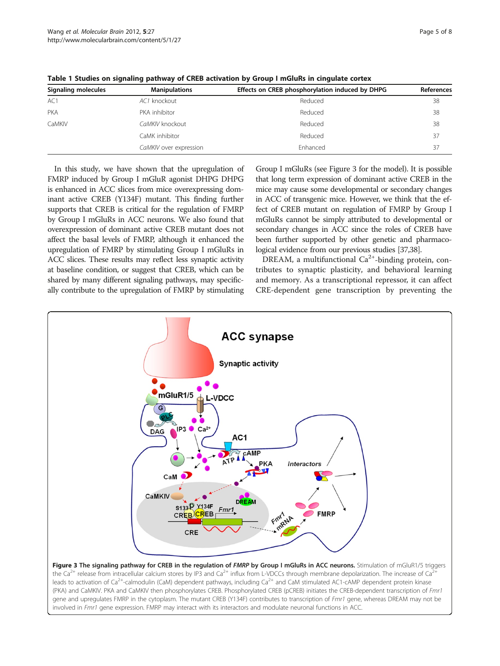| Signaling molecules | <b>Manipulations</b>   | Effects on CREB phosphorylation induced by DHPG | References |
|---------------------|------------------------|-------------------------------------------------|------------|
| AC1                 | AC1 knockout           | Reduced                                         | 38         |
| <b>PKA</b>          | PKA inhibitor          | Reduced                                         | 38         |
| CaMKIV              | CaMKIV knockout        | Reduced                                         | 38         |
|                     | CaMK inhibitor         | Reduced                                         | 37         |
|                     | CaMKIV over expression | Fnhanced                                        | 37         |

<span id="page-4-0"></span>Table 1 Studies on signaling pathway of CREB activation by Group I mGluRs in cingulate cortex

In this study, we have shown that the upregulation of FMRP induced by Group I mGluR agonist DHPG DHPG is enhanced in ACC slices from mice overexpressing dominant active CREB (Y134F) mutant. This finding further supports that CREB is critical for the regulation of FMRP by Group I mGluRs in ACC neurons. We also found that overexpression of dominant active CREB mutant does not affect the basal levels of FMRP, although it enhanced the upregulation of FMRP by stimulating Group I mGluRs in ACC slices. These results may reflect less synaptic activity at baseline condition, or suggest that CREB, which can be shared by many different signaling pathways, may specifically contribute to the upregulation of FMRP by stimulating

Group I mGluRs (see Figure 3 for the model). It is possible that long term expression of dominant active CREB in the mice may cause some developmental or secondary changes in ACC of transgenic mice. However, we think that the effect of CREB mutant on regulation of FMRP by Group I mGluRs cannot be simply attributed to developmental or secondary changes in ACC since the roles of CREB have been further supported by other genetic and pharmacological evidence from our previous studies [[37,38\]](#page-6-0).

DREAM, a multifunctional  $Ca^{2+}$ -binding protein, contributes to synaptic plasticity, and behavioral learning and memory. As a transcriptional repressor, it can affect CRE-dependent gene transcription by preventing the



leads to activation of  $Ca^{2+}$ -calmodulin (CaM) dependent pathways, including  $Ca^{2+}$  and CaM stimulated AC1-cAMP dependent protein kinase (PKA) and CaMKIV. PKA and CaMKIV then phosphorylates CREB. Phosphorylated CREB (pCREB) initiates the CREB-dependent transcription of Fmr1 gene and upregulates FMRP in the cytoplasm. The mutant CREB (Y134F) contributes to transcription of Fmr1 gene, whereas DREAM may not be involved in Fmr1 gene expression. FMRP may interact with its interactors and modulate neuronal functions in ACC.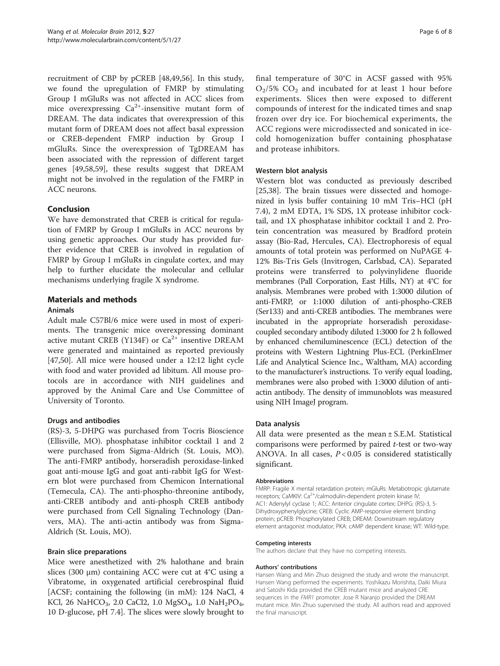recruitment of CBP by pCREB [\[48,49,56](#page-7-0)]. In this study, we found the upregulation of FMRP by stimulating Group I mGluRs was not affected in ACC slices from mice overexpressing  $Ca^{2+}$ -insensitive mutant form of DREAM. The data indicates that overexpression of this mutant form of DREAM does not affect basal expression or CREB-dependent FMRP induction by Group I mGluRs. Since the overexpression of TgDREAM has been associated with the repression of different target genes [\[49,58,59\]](#page-7-0), these results suggest that DREAM might not be involved in the regulation of the FMRP in ACC neurons.

# Conclusion

We have demonstrated that CREB is critical for regulation of FMRP by Group I mGluRs in ACC neurons by using genetic approaches. Our study has provided further evidence that CREB is involved in regulation of FMRP by Group I mGluRs in cingulate cortex, and may help to further elucidate the molecular and cellular mechanisms underlying fragile X syndrome.

# Materials and methods

# Animals

Adult male C57Bl/6 mice were used in most of experiments. The transgenic mice overexpressing dominant active mutant CREB (Y134F) or  $Ca^{2+}$  insentive DREAM were generated and maintained as reported previously [[47,50\]](#page-7-0). All mice were housed under a 12:12 light cycle with food and water provided ad libitum. All mouse protocols are in accordance with NIH guidelines and approved by the Animal Care and Use Committee of University of Toronto.

# Drugs and antibodies

(RS)-3, 5-DHPG was purchased from Tocris Bioscience (Ellisville, MO). phosphatase inhibitor cocktail 1 and 2 were purchased from Sigma-Aldrich (St. Louis, MO). The anti-FMRP antibody, horseradish peroxidase-linked goat anti-mouse IgG and goat anti-rabbit IgG for Western blot were purchased from Chemicon International (Temecula, CA). The anti-phospho-threonine antibody, anti-CREB antibody and anti-phosph CREB antibody were purchased from Cell Signaling Technology (Danvers, MA). The anti-actin antibody was from Sigma-Aldrich (St. Louis, MO).

# Brain slice preparations

Mice were anesthetized with 2% halothane and brain slices (300  $\mu$ m) containing ACC were cut at 4°C using a Vibratome, in oxygenated artificial cerebrospinal fluid [ACSF; containing the following (in mM): 124 NaCl, 4 KCl, 26 NaHCO<sub>3</sub>, 2.0 CaCl2, 1.0 MgSO<sub>4</sub>, 1.0 NaH<sub>2</sub>PO<sub>4</sub>, 10 D-glucose, pH 7.4]. The slices were slowly brought to

final temperature of 30°C in ACSF gassed with 95%  $O<sub>2</sub>/5\%$  CO<sub>2</sub> and incubated for at least 1 hour before experiments. Slices then were exposed to different compounds of interest for the indicated times and snap frozen over dry ice. For biochemical experiments, the ACC regions were microdissected and sonicated in icecold homogenization buffer containing phosphatase and protease inhibitors.

## Western blot analysis

Western blot was conducted as previously described [[25,38\]](#page-6-0). The brain tissues were dissected and homogenized in lysis buffer containing 10 mM Tris–HCl (pH 7.4), 2 mM EDTA, 1% SDS, 1X protease inhibitor cocktail, and 1X phosphatase inhibitor cocktail 1 and 2. Protein concentration was measured by Bradford protein assay (Bio-Rad, Hercules, CA). Electrophoresis of equal amounts of total protein was performed on NuPAGE 4- 12% Bis-Tris Gels (Invitrogen, Carlsbad, CA). Separated proteins were transferred to polyvinylidene fluoride membranes (Pall Corporation, East Hills, NY) at 4°C for analysis. Membranes were probed with 1:3000 dilution of anti-FMRP, or 1:1000 dilution of anti-phospho-CREB (Ser133) and anti-CREB antibodies. The membranes were incubated in the appropriate horseradish peroxidasecoupled secondary antibody diluted 1:3000 for 2 h followed by enhanced chemiluminescence (ECL) detection of the proteins with Western Lightning Plus-ECL (PerkinElmer Life and Analytical Science Inc., Waltham, MA) according to the manufacturer's instructions. To verify equal loading, membranes were also probed with 1:3000 dilution of antiactin antibody. The density of immunoblots was measured using NIH ImageJ program.

## Data analysis

All data were presented as the mean ± S.E.M. Statistical comparisons were performed by paired  $t$ -test or two-way ANOVA. In all cases,  $P < 0.05$  is considered statistically significant.

## Abbreviations

FMRP: Fragile X mental retardation protein; mGluRs: Metabotropic glutamate receptors; CaMKIV: Ca<sup>2+</sup>/calmodulin-dependent protein kinase IV; AC1: Adenylyl cyclase 1; ACC: Anterior cingulate cortex; DHPG: (RS)-3, 5- Dihydroxyphenylglycine; CREB: Cyclic AMP-responsive element binding protein; pCREB: Phosphorylated CREB; DREAM: Downstream regulatory element antagonist modulator; PKA: cAMP dependent kinase; WT: Wild-type.

## Competing interests

The authors declare that they have no competing interests.

## Authors' contributions

Hansen Wang and Min Zhuo designed the study and wrote the manuscript. Hansen Wang performed the experiments. Yoshikazu Morishita, Daiki Miura and Satoshi Kida provided the CREB mutant mice and analyzed CRE sequences in the FMR1 promoter. Jose R Naranjo provided the DREAM mutant mice. Min Zhuo supervised the study. All authors read and approved the final manuscript.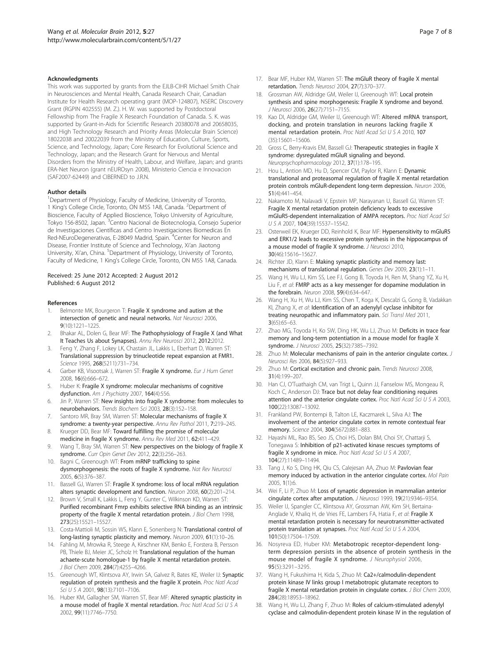#### <span id="page-6-0"></span>Acknowledgments

This work was supported by grants from the EJLB-CIHR Michael Smith Chair in Neurosciences and Mental Health, Canada Research Chair, Canadian Institute for Health Research operating grant (MOP-124807), NSERC Discovery Grant (RGPIN 402555) (M. Z.). H. W. was supported by Postdoctoral Fellowship from The Fragile X Research Foundation of Canada. S. K. was supported by Grant-in-Aids for Scientific Research 20380078 and 20658035, and High Technology Research and Priority Areas (Molecular Brain Science) 18022038 and 20022039 from the Ministry of Education, Culture, Sports, Science, and Technology, Japan; Core Research for Evolutional Science and Technology, Japan; and the Research Grant for Nervous and Mental Disorders from the Ministry of Health, Labour, and Welfare, Japan; and grants ERA-Net Neuron (grant nEUROsyn 2008), Ministerio Ciencia e Innovacion (SAF2007-62449) and CIBERNED to J.R.N.

#### Author details

<sup>1</sup>Department of Physiology, Faculty of Medicine, University of Toronto, 1 King's College Circle, Toronto, ON M5S 1A8, Canada. <sup>2</sup>Department of Bioscience, Faculty of Applied Bioscience, Tokyo University of Agriculture, Tokyo 156-8502, Japan. <sup>3</sup>Centro Nacional de Biotecnologia, Consejo Superior de Investigaciones Científicas and Centro Investigaciones Biomedicas En Red-NEuroDegenerativas, E-28049 Madrid, Spain. <sup>4</sup>Center for Neuron and Disease, Frontier Institute of Science and Technology, Xi'an Jiaotong University, Xi'an, China. <sup>5</sup>Department of Physiology, University of Toronto, Faculty of Medicine, 1 King's College Circle, Toronto, ON M5S 1A8, Canada.

#### Received: 25 June 2012 Accepted: 2 August 2012 Published: 6 August 2012

#### References

- Belmonte MK, Bourgeron T: Fragile X syndrome and autism at the intersection of genetic and neural networks. Nat Neurosci 2006, 9(10):1221–1225.
- Bhakar AL, Dolen G, Bear MF: The Pathophysiology of Fragile X (and What It Teaches Us about Synapses). Annu Rev Neurosci 2012, 2012:2012.
- 3. Feng Y, Zhang F, Lokey LK, Chastain JL, Lakkis L, Eberhart D, Warren ST: Translational suppression by trinucleotide repeat expansion at FMR1. Science 1995, 268(5211):731–734.
- 4. Garber KB, Visootsak J, Warren ST: Fragile X syndrome. Eur J Hum Genet 2008, 16(6):666–672.
- Huber K: Fragile X syndrome: molecular mechanisms of cognitive dysfunction. Am J Psychiatry 2007, 164(4):556.
- 6. Jin P, Warren ST: New insights into fragile X syndrome: from molecules to neurobehaviors. Trends Biochem Sci 2003, 28(3):152–158.
- 7. Santoro MR, Bray SM, Warren ST: Molecular mechanisms of fragile X syndrome: a twenty-year perspective. Annu Rev Pathol 2011, 7:219-245.
- 8. Krueger DD, Bear MF: Toward fulfilling the promise of molecular medicine in fragile X syndrome. Annu Rev Med 2011, 62:411–429.
- Wang T, Bray SM, Warren ST: New perspectives on the biology of fragile X syndrome. Curr Opin Genet Dev 2012, 22(3):256–263.
- 10. Bagni C, Greenough WT: From mRNP trafficking to spine dysmorphogenesis: the roots of fragile X syndrome. Nat Rev Neurosci 2005, 6(5):376–387.
- 11. Bassell GJ, Warren ST: Fragile X syndrome: loss of local mRNA regulation alters synaptic development and function. Neuron 2008, 60(2):201–214.
- 12. Brown V, Small K, Lakkis L, Feng Y, Gunter C, Wilkinson KD, Warren ST: Purified recombinant Fmrp exhibits selective RNA binding as an intrinsic property of the fragile X mental retardation protein. J Biol Chem 1998, 273(25):15521–15527.
- 13. Costa-Mattioli M, Sossin WS, Klann E, Sonenberg N: Translational control of long-lasting synaptic plasticity and memory. Neuron 2009, 61(1):10–26.
- 14. Fahling M, Mrowka R, Steege A, Kirschner KM, Benko E, Forstera B, Persson PB, Thiele BJ, Meier JC, Scholz H: Translational regulation of the human achaete-scute homologue-1 by fragile X mental retardation protein. J Biol Chem 2009, 284(7):4255-4266.
- 15. Greenough WT, Klintsova AY, Irwin SA, Galvez R, Bates KE, Weiler IJ: Synaptic regulation of protein synthesis and the fragile X protein. Proc Natl Acad Sci U S A 2001, 98(13):7101–7106.
- 16. Huber KM, Gallagher SM, Warren ST, Bear MF: Altered synaptic plasticity in a mouse model of fragile X mental retardation. Proc Natl Acad Sci U S A 2002, 99(11):7746–7750.
- 17. Bear MF, Huber KM, Warren ST: The mGluR theory of fragile X mental retardation. Trends Neurosci 2004, 27(7):370–377.
- 18. Grossman AW, Aldridge GM, Weiler IJ, Greenough WT: Local protein synthesis and spine morphogenesis: Fragile X syndrome and beyond. J Neurosci 2006, 26(27):7151–7155.
- 19. Kao DI, Aldridge GM, Weiler IJ, Greenough WT: Altered mRNA transport, docking, and protein translation in neurons lacking fragile X mental retardation protein. Proc Natl Acad Sci U S A 2010, 107 (35):15601–15606.
- 20. Gross C, Berry-Kravis EM, Bassell GJ: Therapeutic strategies in fragile X syndrome: dysregulated mGluR signaling and beyond. Neuropsychopharmacology 2012, 37(1):178–195.
- 21. Hou L, Antion MD, Hu D, Spencer CM, Paylor R, Klann E: Dynamic translational and proteasomal regulation of fragile X mental retardation protein controls mGluR-dependent long-term depression. Neuron 2006, 51(4):441–454.
- 22. Nakamoto M, Nalavadi V, Epstein MP, Narayanan U, Bassell GJ, Warren ST: Fragile X mental retardation protein deficiency leads to excessive mGluR5-dependent internalization of AMPA receptors. Proc Natl Acad Sci USA 2007, 104(39):15537–15542.
- 23. Osterweil EK, Krueger DD, Reinhold K, Bear MF: Hypersensitivity to mGluR5 and ERK1/2 leads to excessive protein synthesis in the hippocampus of a mouse model of fragile X syndrome. J Neurosci 2010, 30(46):15616–15627.
- 24. Richter JD, Klann E: Making synaptic plasticity and memory last: mechanisms of translational regulation. Genes Dev 2009, 23(1):1–11.
- 25. Wang H, Wu LJ, Kim SS, Lee FJ, Gong B, Toyoda H, Ren M, Shang YZ, Xu H, Liu F, et al: FMRP acts as a key messenger for dopamine modulation in the forebrain. Neuron 2008, 59(4):634–647.
- 26. Wang H, Xu H, Wu LJ, Kim SS, Chen T, Koga K, Descalzi G, Gong B, Vadakkan KI, Zhang X, et al: Identification of an adenylyl cyclase inhibitor for treating neuropathic and inflammatory pain. Sci Transl Med 2011, 3(65):65–63.
- 27. Zhao MG, Toyoda H, Ko SW, Ding HK, Wu LJ, Zhuo M: Deficits in trace fear memory and long-term potentiation in a mouse model for fragile X syndrome. J Neurosci 2005, 25(32):7385–7392.
- 28. Zhuo M: Molecular mechanisms of pain in the anterior cingulate cortex. J Neurosci Res 2006, 84(5):927–933.
- 29. Zhuo M: Cortical excitation and chronic pain. Trends Neurosci 2008, 31(4):199–207.
- 30. Han CJ, O'Tuathaigh CM, van Trigt L, Quinn JJ, Fanselow MS, Mongeau R, Koch C, Anderson DJ: Trace but not delay fear conditioning requires attention and the anterior cingulate cortex. Proc Natl Acad Sci U S A 2003, 100(22):13087–13092.
- 31. Frankland PW, Bontempi B, Talton LE, Kaczmarek L, Silva AJ: The involvement of the anterior cingulate cortex in remote contextual fear memory. Science 2004, 304(5672):881–883.
- 32. Hayashi ML, Rao BS, Seo JS, Choi HS, Dolan BM, Choi SY, Chattarji S, Tonegawa S: Inhibition of p21-activated kinase rescues symptoms of fragile X syndrome in mice. Proc Natl Acad Sci U S A 2007, 104(27):11489–11494.
- 33. Tang J, Ko S, Ding HK, Qiu CS, Calejesan AA, Zhuo M: Pavlovian fear memory induced by activation in the anterior cingulate cortex. Mol Pain 2005, 1(1):6.
- 34. Wei F, Li P, Zhuo M: Loss of synaptic depression in mammalian anterior cingulate cortex after amputation. J Neurosci 1999, 19(21):9346–9354.
- 35. Weiler IJ, Spangler CC, Klintsova AY, Grossman AW, Kim SH, Bertaina-Anglade V, Khaliq H, de Vries FE, Lambers FA, Hatia F, et al: Fragile X mental retardation protein is necessary for neurotransmitter-activated protein translation at synapses. Proc Natl Acad Sci U S A 2004, 101(50):17504–17509.
- 36. Nosyreva ED, Huber KM: Metabotropic receptor-dependent longterm depression persists in the absence of protein synthesis in the mouse model of fragile X syndrome. J Neurophysiol 2006, 95(5):3291–3295.
- 37. Wang H, Fukushima H, Kida S, Zhuo M: Ca2+/calmodulin-dependent protein kinase IV links group I metabotropic glutamate receptors to fragile X mental retardation protein in cingulate cortex. J Biol Chem 2009, 284(28):18953–18962.
- 38. Wang H, Wu LJ, Zhang F, Zhuo M: Roles of calcium-stimulated adenylyl cyclase and calmodulin-dependent protein kinase IV in the regulation of